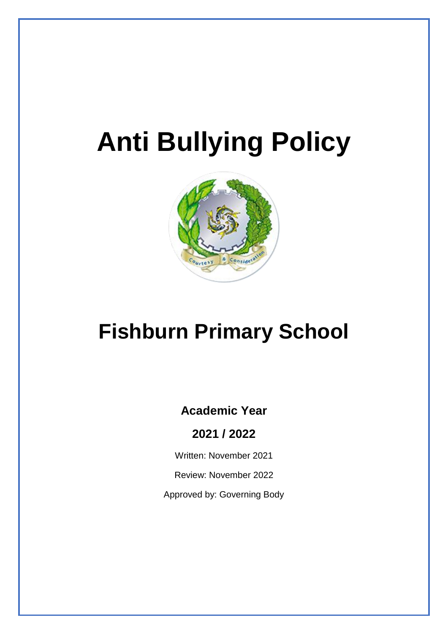# **Anti Bullying Policy**



## **Fishburn Primary School**

### **Academic Year**

**2021 / 2022**

Written: November 2021

Review: November 2022

Approved by: Governing Body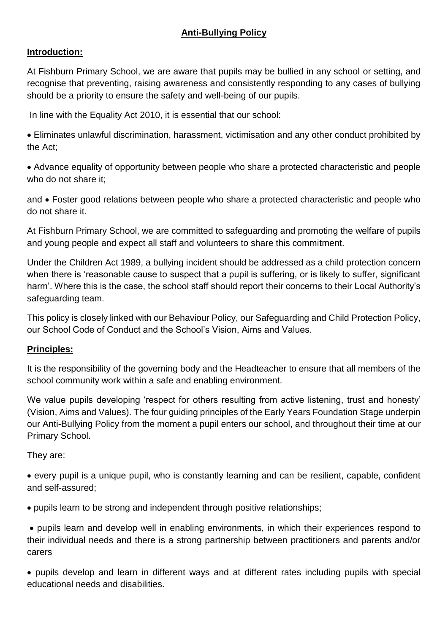#### **Anti-Bullying Policy**

#### **Introduction:**

At Fishburn Primary School, we are aware that pupils may be bullied in any school or setting, and recognise that preventing, raising awareness and consistently responding to any cases of bullying should be a priority to ensure the safety and well-being of our pupils.

In line with the Equality Act 2010, it is essential that our school:

• Eliminates unlawful discrimination, harassment, victimisation and any other conduct prohibited by the Act;

• Advance equality of opportunity between people who share a protected characteristic and people who do not share it:

and • Foster good relations between people who share a protected characteristic and people who do not share it.

At Fishburn Primary School, we are committed to safeguarding and promoting the welfare of pupils and young people and expect all staff and volunteers to share this commitment.

Under the Children Act 1989, a bullying incident should be addressed as a child protection concern when there is 'reasonable cause to suspect that a pupil is suffering, or is likely to suffer, significant harm'. Where this is the case, the school staff should report their concerns to their Local Authority's safeguarding team.

This policy is closely linked with our Behaviour Policy, our Safeguarding and Child Protection Policy, our School Code of Conduct and the School's Vision, Aims and Values.

#### **Principles:**

It is the responsibility of the governing body and the Headteacher to ensure that all members of the school community work within a safe and enabling environment.

We value pupils developing 'respect for others resulting from active listening, trust and honesty' (Vision, Aims and Values). The four guiding principles of the Early Years Foundation Stage underpin our Anti-Bullying Policy from the moment a pupil enters our school, and throughout their time at our Primary School.

They are:

• every pupil is a unique pupil, who is constantly learning and can be resilient, capable, confident and self-assured;

• pupils learn to be strong and independent through positive relationships;

• pupils learn and develop well in enabling environments, in which their experiences respond to their individual needs and there is a strong partnership between practitioners and parents and/or carers

• pupils develop and learn in different ways and at different rates including pupils with special educational needs and disabilities.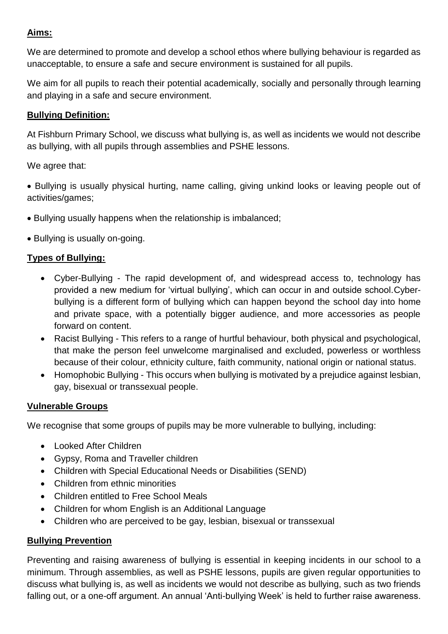#### **Aims:**

We are determined to promote and develop a school ethos where bullying behaviour is regarded as unacceptable, to ensure a safe and secure environment is sustained for all pupils.

We aim for all pupils to reach their potential academically, socially and personally through learning and playing in a safe and secure environment.

#### **Bullying Definition:**

At Fishburn Primary School, we discuss what bullying is, as well as incidents we would not describe as bullying, with all pupils through assemblies and PSHE lessons.

We agree that:

• Bullying is usually physical hurting, name calling, giving unkind looks or leaving people out of activities/games;

- Bullying usually happens when the relationship is imbalanced;
- Bullying is usually on-going.

#### **Types of Bullying:**

- Cyber-Bullying The rapid development of, and widespread access to, technology has provided a new medium for 'virtual bullying', which can occur in and outside school.Cyberbullying is a different form of bullying which can happen beyond the school day into home and private space, with a potentially bigger audience, and more accessories as people forward on content.
- Racist Bullying This refers to a range of hurtful behaviour, both physical and psychological, that make the person feel unwelcome marginalised and excluded, powerless or worthless because of their colour, ethnicity culture, faith community, national origin or national status.
- Homophobic Bullying This occurs when bullying is motivated by a prejudice against lesbian, gay, bisexual or transsexual people.

#### **Vulnerable Groups**

We recognise that some groups of pupils may be more vulnerable to bullying, including:

- Looked After Children
- Gypsy, Roma and Traveller children
- Children with Special Educational Needs or Disabilities (SEND)
- Children from ethnic minorities
- Children entitled to Free School Meals
- Children for whom English is an Additional Language
- Children who are perceived to be gay, lesbian, bisexual or transsexual

#### **Bullying Prevention**

Preventing and raising awareness of bullying is essential in keeping incidents in our school to a minimum. Through assemblies, as well as PSHE lessons, pupils are given regular opportunities to discuss what bullying is, as well as incidents we would not describe as bullying, such as two friends falling out, or a one-off argument. An annual 'Anti-bullying Week' is held to further raise awareness.